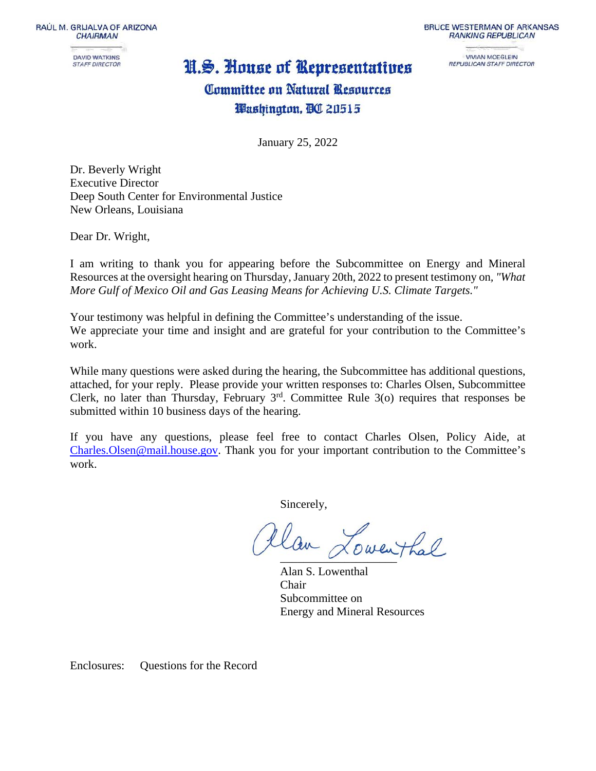RAÚL M. GRIJALVA OF ARIZONA **CHAIRMAN** 



## N.S. House of Representatives

**BRUCE WESTERMAN OF ARKANSAS RANKING REPUBLICAN** 

> **VIVIAN MOEGLEIN** REPUBLICAN STAFF DIRECTOR

# Committee on Natural Resources Washington, BC 20515

January 25, 2022

Dr. Beverly Wright Executive Director Deep South Center for Environmental Justice New Orleans, Louisiana

Dear Dr. Wright,

I am writing to thank you for appearing before the Subcommittee on Energy and Mineral Resources at the oversight hearing on Thursday, January 20th, 2022 to present testimony on*, "What More Gulf of Mexico Oil and Gas Leasing Means for Achieving U.S. Climate Targets."*

Your testimony was helpful in defining the Committee's understanding of the issue. We appreciate your time and insight and are grateful for your contribution to the Committee's work.

While many questions were asked during the hearing, the Subcommittee has additional questions, attached, for your reply. Please provide your written responses to: Charles Olsen, Subcommittee Clerk, no later than Thursday, February  $3<sup>rd</sup>$ . Committee Rule 3(o) requires that responses be submitted within 10 business days of the hearing.

If you have any questions, please feel free to contact Charles Olsen, Policy Aide, at [Charles.Olsen@mail.house.gov.](mailto:Charles.Olsen@mail.house.gov) Thank you for your important contribution to the Committee's work.

Sincerely,

tlan Lowenthal

Alan S. Lowenthal Chair Subcommittee on Energy and Mineral Resources

Enclosures: Questions for the Record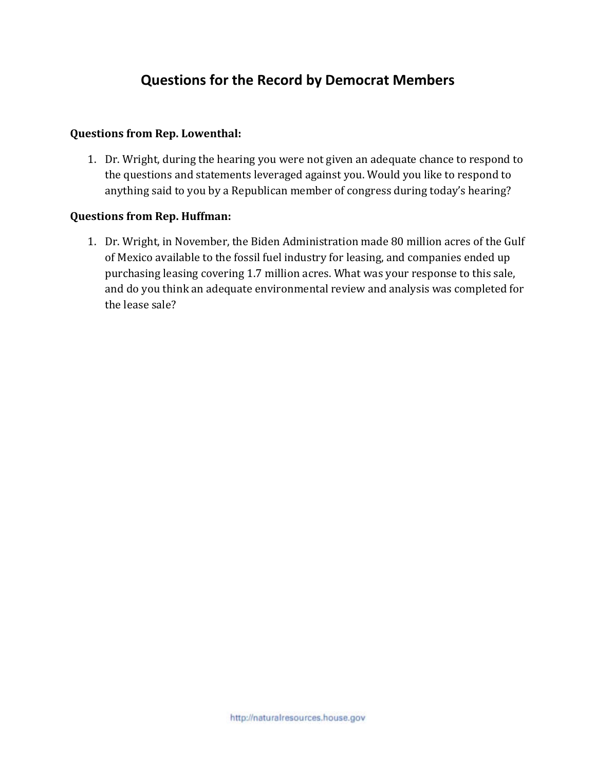### **Questions for the Record by Democrat Members**

### **Questions from Rep. Lowenthal:**

1. Dr. Wright, during the hearing you were not given an adequate chance to respond to the questions and statements leveraged against you. Would you like to respond to anything said to you by a Republican member of congress during today's hearing?

#### **Questions from Rep. Huffman:**

1. Dr. Wright, in November, the Biden Administration made 80 million acres of the Gulf of Mexico available to the fossil fuel industry for leasing, and companies ended up purchasing leasing covering 1.7 million acres. What was your response to this sale, and do you think an adequate environmental review and analysis was completed for the lease sale?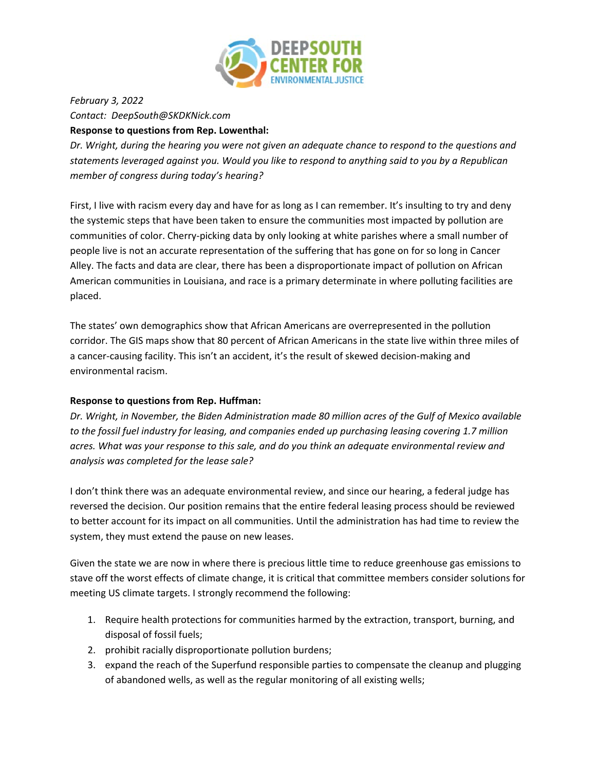

*February 3, 2022 Contact: DeepSouth@SKDKNick.com* **Response to questions from Rep. Lowenthal:**

*Dr. Wright, during the hearing you were not given an adequate chance to respond to the questions and statements leveraged against you. Would you like to respond to anything said to you by a Republican member of congress during today's hearing?*

First, I live with racism every day and have for as long as I can remember. It's insulting to try and deny the systemic steps that have been taken to ensure the communities most impacted by pollution are communities of color. Cherry-picking data by only looking at white parishes where a small number of people live is not an accurate representation of the suffering that has gone on for so long in Cancer Alley. The facts and data are clear, there has been a disproportionate impact of pollution on African American communities in Louisiana, and race is a primary determinate in where polluting facilities are placed.

The states' own demographics show that African Americans are overrepresented in the pollution corridor. The GIS maps show that 80 percent of African Americans in the state live within three miles of a cancer-causing facility. This isn't an accident, it's the result of skewed decision-making and environmental racism.

#### **Response to questions from Rep. Huffman:**

*Dr. Wright, in November, the Biden Administration made 80 million acres of the Gulf of Mexico available to the fossil fuel industry for leasing, and companies ended up purchasing leasing covering 1.7 million acres. What was your response to this sale, and do you think an adequate environmental review and analysis was completed for the lease sale?*

I don't think there was an adequate environmental review, and since our hearing, a federal judge has reversed the decision. Our position remains that the entire federal leasing process should be reviewed to better account for its impact on all communities. Until the administration has had time to review the system, they must extend the pause on new leases.

Given the state we are now in where there is precious little time to reduce greenhouse gas emissions to stave off the worst effects of climate change, it is critical that committee members consider solutions for meeting US climate targets. I strongly recommend the following:

- 1. Require health protections for communities harmed by the extraction, transport, burning, and disposal of fossil fuels;
- 2. prohibit racially disproportionate pollution burdens;
- 3. expand the reach of the Superfund responsible parties to compensate the cleanup and plugging of abandoned wells, as well as the regular monitoring of all existing wells;